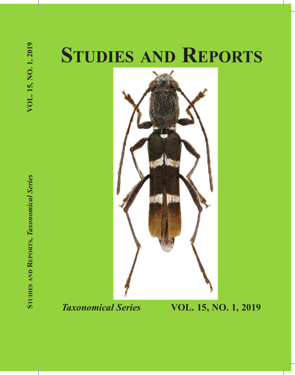# **Studies and Reports**



**Studie s and Repo rt s,** *Taxonomical Series* **VOL. 15, NO. 1, 2019**

VOL. 15, NO. 1, 2019

*Taxonomical Series* **VOL. 15, NO. 1, 2019**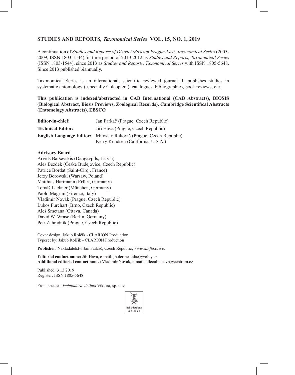### **Studies and Reports***, Taxonomical Series* **VOL. 15, NO. 1, 2019**

A continuation of *Studies and Reports of District Museum Prague-East, Taxonomical Series* (2005- 2009, ISSN 1803-1544), in time period of 2010-2012 as *Studies and Reports, Taxonomical Series* (ISSN 1803-1544), since 2013 as *Studies and Reports, Taxonomical Series* with ISSN 1805-5648. Since 2013 published biannually.

Taxonomical Series is an international, scientific reviewed journal. It publishes studies in systematic entomology (especially Coleoptera), catalogues, bibliographies, book reviews, etc.

**This publication is indexed/abstracted in CAB International (CAB Abstracts), BIOSIS (Biological Abstract, Biosis Previews, Zoological Records), Cambridge Scientifical Abstracts (Entomology Abstracts), EBSCO**

| Editor-in-chief:                | Jan Farkač (Prague, Czech Republic)                                             |
|---------------------------------|---------------------------------------------------------------------------------|
| <b>Technical Editor:</b>        | Jiří Háva (Prague, Czech Republic)                                              |
| <b>English Language Editor:</b> | Miloslav Rakovič (Prague, Czech Republic)<br>Kerry Knudsen (California, U.S.A.) |

#### **Advisory Board**

Arvids Barševskis (Daugavpils, Latvia) Aleš Bezděk (České Budějovice, Czech Republic) Patrice Bordat (Saint-Cirq , France) Jerzy Borowski (Warsaw, Poland) Matthias Hartmann (Erfurt, Germany) Tomáš Lackner (München, Germany) Paolo Magrini (Firenze, Italy) Vladimír Novák (Prague, Czech Republic) Luboš Purchart (Brno, Czech Republic) Aleš Smetana (Ottava, Canada) David W. Wrase (Berlin, Germany) Petr Zahradník (Prague, Czech Republic)

Cover design: Jakub Rolčík - CLARION Production Typeset by: Jakub Rolčík - CLARION Production

**Publisher**: Nakladatelství Jan Farkač, Czech Republic; *www.sar.fld.czu.cz*

**Editorial contact name:** Jiří Háva, e-mail: jh.dermestidae@volny.cz **Additional editorial contact name:** Vladimír Novák, e-mail: alleculinae.vn@centrum.cz

Published: 31.3.2019 Register: ISSN 1805-5648

Front species: *Ischnodora victima* Viktora, sp. nov.

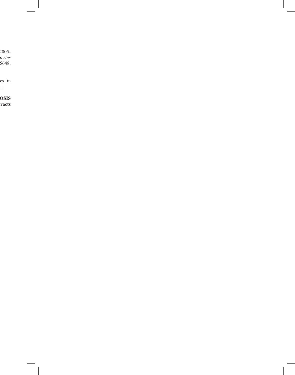A continuation of *Studies and Reports of District Museum Prague-East, Taxonomical Series* (2005- 2009, ISSN 1803-1544), in time period of 2010-2012 as *Studies and Reports, Taxonomical Series* (ISSN 1803-1544), since 2013 as *Studies and Reports, Taxonomical Series* with ISSN 1805-5648.  $\overline{\phantom{a}}$ 

es in  $\mathfrak{c}.$ 

**This publication is indexed/abstracted in CAB International (CAB Abstracts), BIOSIS (Biological Abstract, Biosis Previews, Zoological Records), Cambridge Scientifical Abstracts**